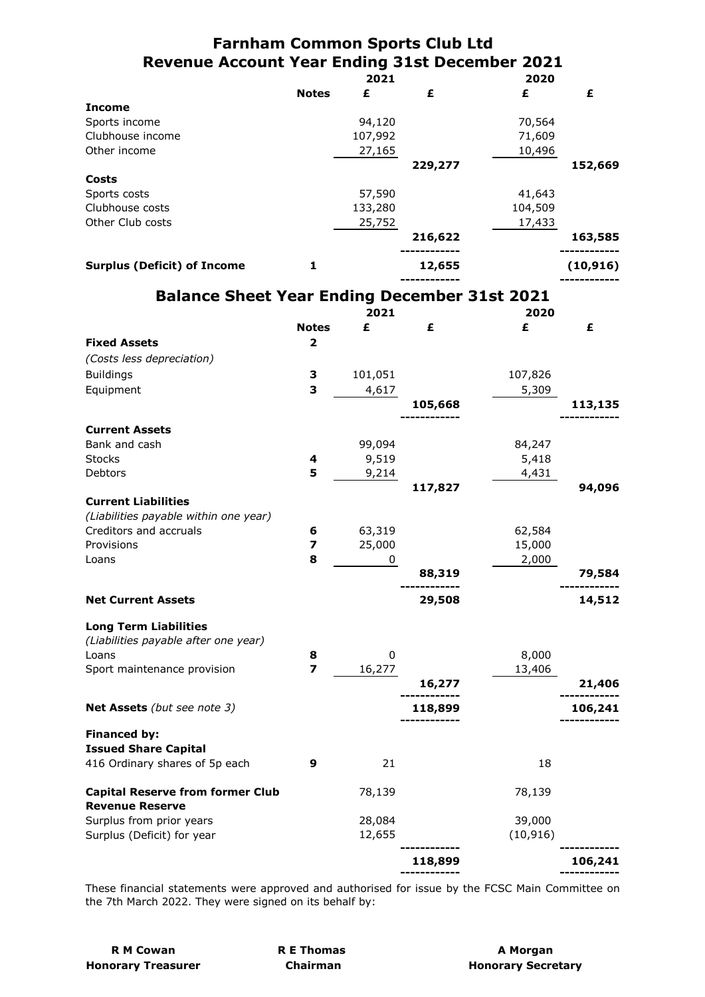# **Farnham Common Sports Club Ltd Revenue Account Year Ending 31st December 2021**

|                                    | 2021         |         |         | 2020    |           |  |
|------------------------------------|--------------|---------|---------|---------|-----------|--|
|                                    | <b>Notes</b> | £       | £       | £       | £         |  |
| <b>Income</b>                      |              |         |         |         |           |  |
| Sports income                      |              | 94,120  |         | 70,564  |           |  |
| Clubhouse income                   |              | 107,992 |         | 71,609  |           |  |
| Other income                       |              | 27,165  |         | 10,496  |           |  |
|                                    |              |         | 229,277 |         | 152,669   |  |
| Costs                              |              |         |         |         |           |  |
| Sports costs                       |              | 57,590  |         | 41,643  |           |  |
| Clubhouse costs                    |              | 133,280 |         | 104,509 |           |  |
| Other Club costs                   |              | 25,752  |         | 17,433  |           |  |
|                                    |              |         | 216,622 |         | 163,585   |  |
|                                    |              |         |         |         |           |  |
| <b>Surplus (Deficit) of Income</b> |              |         | 12,655  |         | (10, 916) |  |
|                                    |              |         |         |         |           |  |

# **Balance Sheet Year Ending December 31st 2021**

|                                         |                         | 2021         |         | 2020      |         |  |
|-----------------------------------------|-------------------------|--------------|---------|-----------|---------|--|
|                                         | <b>Notes</b>            | £            | £       | £         | £       |  |
| <b>Fixed Assets</b>                     | 2                       |              |         |           |         |  |
| (Costs less depreciation)               |                         |              |         |           |         |  |
| <b>Buildings</b>                        | З                       | 101,051      |         | 107,826   |         |  |
| Equipment                               | 3                       | 4,617        |         | 5,309     |         |  |
|                                         |                         |              | 105,668 |           | 113,135 |  |
| <b>Current Assets</b>                   |                         |              |         |           |         |  |
| Bank and cash                           |                         | 99,094       |         | 84,247    |         |  |
| <b>Stocks</b>                           | 4                       | 9,519        |         | 5,418     |         |  |
| <b>Debtors</b>                          | 5                       | 9,214        |         | 4,431     |         |  |
|                                         |                         |              | 117,827 |           | 94,096  |  |
| <b>Current Liabilities</b>              |                         |              |         |           |         |  |
| (Liabilities payable within one year)   |                         |              |         |           |         |  |
| Creditors and accruals                  | 6                       | 63,319       |         | 62,584    |         |  |
| Provisions                              | $\overline{\mathbf{z}}$ | 25,000       |         | 15,000    |         |  |
| Loans                                   | 8                       | $\mathbf{0}$ |         | 2,000     |         |  |
|                                         |                         |              | 88,319  |           | 79,584  |  |
| <b>Net Current Assets</b>               |                         |              | 29,508  |           | 14,512  |  |
| <b>Long Term Liabilities</b>            |                         |              |         |           |         |  |
| (Liabilities payable after one year)    |                         |              |         |           |         |  |
| Loans                                   | 8                       | 0            |         | 8,000     |         |  |
| Sport maintenance provision             | 7                       | 16,277       |         | 13,406    |         |  |
|                                         |                         |              | 16,277  |           | 21,406  |  |
| Net Assets (but see note 3)             |                         |              | 118,899 |           | 106,241 |  |
|                                         |                         |              |         |           |         |  |
| <b>Financed by:</b>                     |                         |              |         |           |         |  |
| <b>Issued Share Capital</b>             |                         |              |         |           |         |  |
| 416 Ordinary shares of 5p each          | 9                       | 21           |         | 18        |         |  |
| <b>Capital Reserve from former Club</b> |                         | 78,139       |         | 78,139    |         |  |
| <b>Revenue Reserve</b>                  |                         |              |         |           |         |  |
| Surplus from prior years                |                         | 28,084       |         | 39,000    |         |  |
| Surplus (Deficit) for year              |                         | 12,655       |         | (10, 916) |         |  |
|                                         |                         |              | 118,899 |           | 106,241 |  |
|                                         |                         |              |         |           |         |  |

These financial statements were approved and authorised for issue by the FCSC Main Committee on the 7th March 2022. They were signed on its behalf by: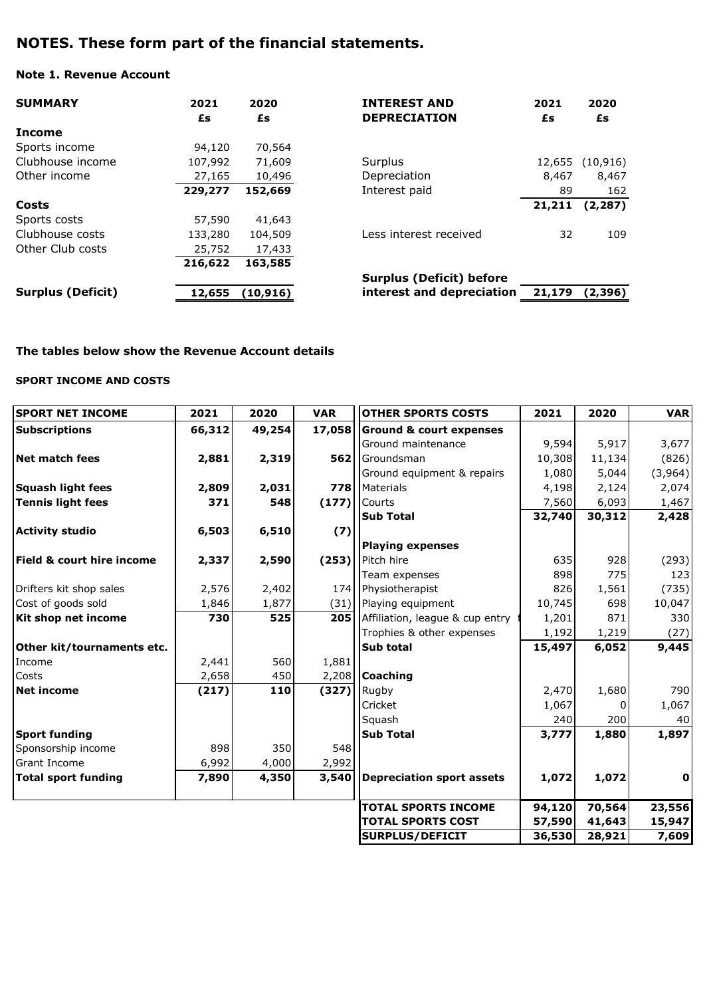# **NOTES. These form part of the financial statements.**

## **Note 1. Revenue Account**

| <b>SUMMARY</b>           | 2021    | 2020      | <b>INTEREST AND</b>             | 2021   | 2020      |
|--------------------------|---------|-----------|---------------------------------|--------|-----------|
|                          | £s      | £s        | <b>DEPRECIATION</b>             | £s     | £s        |
| <b>Income</b>            |         |           |                                 |        |           |
| Sports income            | 94,120  | 70,564    |                                 |        |           |
| Clubhouse income         | 107,992 | 71,609    | Surplus                         | 12,655 | (10, 916) |
| Other income             | 27,165  | 10,496    | Depreciation                    | 8,467  | 8,467     |
|                          | 229,277 | 152,669   | Interest paid                   | 89     | 162       |
| Costs                    |         |           |                                 | 21,211 | (2, 287)  |
| Sports costs             | 57,590  | 41,643    |                                 |        |           |
| Clubhouse costs          | 133,280 | 104,509   | Less interest received          | 32     | 109       |
| Other Club costs         | 25,752  | 17,433    |                                 |        |           |
|                          | 216,622 | 163,585   |                                 |        |           |
|                          |         |           | <b>Surplus (Deficit) before</b> |        |           |
| <b>Surplus (Deficit)</b> | 12,655  | (10, 916) | interest and depreciation       | 21,179 | (2,396)   |

### **The tables below show the Revenue Account details**

#### **SPORT INCOME AND COSTS**

| <b>SPORT NET INCOME</b>              | 2021   | 2020   | <b>VAR</b> | <b>OTHER SPORTS COSTS</b>          | 2021   | 2020   | <b>VAR</b>  |
|--------------------------------------|--------|--------|------------|------------------------------------|--------|--------|-------------|
| <b>Subscriptions</b>                 | 66,312 | 49,254 | 17,058     | <b>Ground &amp; court expenses</b> |        |        |             |
|                                      |        |        |            | Ground maintenance                 | 9,594  | 5,917  | 3,677       |
| Net match fees                       | 2,881  | 2,319  | 562        | Groundsman                         | 10,308 | 11,134 | (826)       |
|                                      |        |        |            | Ground equipment & repairs         | 1,080  | 5,044  | (3,964)     |
| <b>Squash light fees</b>             | 2,809  | 2,031  | <b>778</b> | Materials                          | 4,198  | 2,124  | 2,074       |
| <b>Tennis light fees</b>             | 371    | 548    | (177)      | Courts                             | 7,560  | 6,093  | 1,467       |
|                                      |        |        |            | <b>Sub Total</b>                   | 32,740 | 30,312 | 2,428       |
| <b>Activity studio</b>               | 6,503  | 6,510  | (7)        |                                    |        |        |             |
|                                      |        |        |            | <b>Playing expenses</b>            |        |        |             |
| <b>Field &amp; court hire income</b> | 2,337  | 2,590  | (253)      | Pitch hire                         | 635    | 928    | (293)       |
|                                      |        |        |            | Team expenses                      | 898    | 775    | 123         |
| Drifters kit shop sales              | 2,576  | 2,402  | 174        | Physiotherapist                    | 826    | 1,561  | (735)       |
| Cost of goods sold                   | 1,846  | 1,877  | (31)       | Playing equipment                  | 10,745 | 698    | 10,047      |
| Kit shop net income                  | 730    | 525    | 205        | Affiliation, league & cup entry    | 1,201  | 871    | 330         |
|                                      |        |        |            | Trophies & other expenses          | 1,192  | 1,219  | (27)        |
| Other kit/tournaments etc.           |        |        |            | <b>Sub total</b>                   | 15,497 | 6,052  | 9,445       |
| Income                               | 2,441  | 560    | 1,881      |                                    |        |        |             |
| Costs                                | 2,658  | 450    | 2,208      | <b>Coaching</b>                    |        |        |             |
| <b>Net income</b>                    | (217)  | 110    | (327)      | Rugby                              | 2,470  | 1,680  | 790         |
|                                      |        |        |            | Cricket                            | 1,067  |        | 1,067       |
|                                      |        |        |            | Squash                             | 240    | 200    | 40          |
| <b>Sport funding</b>                 |        |        |            | <b>Sub Total</b>                   | 3,777  | 1,880  | 1,897       |
| Sponsorship income                   | 898    | 350    | 548        |                                    |        |        |             |
| <b>Grant Income</b>                  | 6,992  | 4,000  | 2,992      |                                    |        |        |             |
| <b>Total sport funding</b>           | 7,890  | 4,350  | 3,540      | <b>Depreciation sport assets</b>   | 1,072  | 1,072  | $\mathbf 0$ |
|                                      |        |        |            |                                    |        |        |             |
|                                      |        |        |            | <b>TOTAL SPORTS INCOME</b>         | 94,120 | 70,564 | 23,556      |
|                                      |        |        |            | <b>TOTAL SPORTS COST</b>           | 57,590 | 41,643 | 15,947      |
|                                      |        |        |            | <b>SURPLUS/DEFICIT</b>             | 36,530 | 28,921 | 7,609       |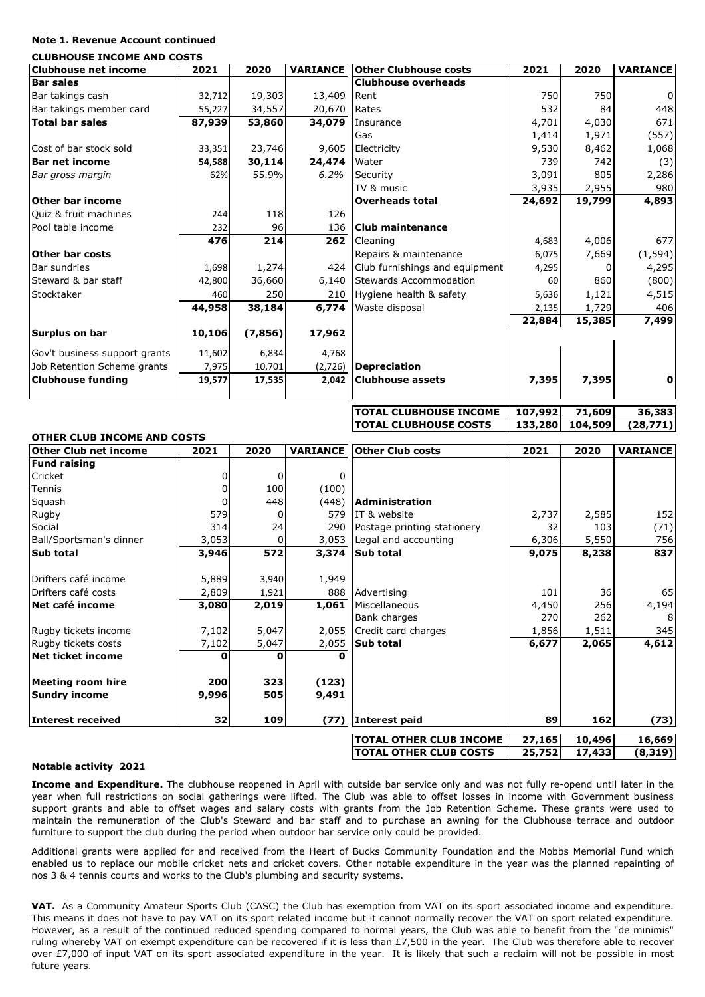#### **Note 1. Revenue Account continued**

#### **CLUBHOUSE INCOME AND COSTS**

| <b>Clubhouse net income</b>   | 2021   | 2020     | <b>VARIANCE</b> | <b>Other Clubhouse costs</b>   | 2021   | 2020   | <b>VARIANCE</b> |
|-------------------------------|--------|----------|-----------------|--------------------------------|--------|--------|-----------------|
| <b>Bar sales</b>              |        |          |                 | <b>Clubhouse overheads</b>     |        |        |                 |
| Bar takings cash              | 32,712 | 19,303   | 13,409          | Rent                           | 750    | 750    | $\mathbf{0}$    |
| Bar takings member card       | 55,227 | 34,557   | 20,670          | Rates                          | 532    | 84     | 448             |
| <b>Total bar sales</b>        | 87,939 | 53,860   | 34,079          | Insurance                      | 4,701  | 4,030  | 671             |
|                               |        |          |                 | Gas                            | 1,414  | 1,971  | (557)           |
| Cost of bar stock sold        | 33,351 | 23,746   | 9,605           | Electricity                    | 9,530  | 8,462  | 1,068           |
| <b>Bar net income</b>         | 54,588 | 30,114   | 24,474          | Water                          | 739    | 742    | (3)             |
| Bar gross margin              | 62%    | 55.9%    | 6.2%            | Security                       | 3,091  | 805    | 2,286           |
|                               |        |          |                 | TV & music                     | 3,935  | 2,955  | 980             |
| Other bar income              |        |          |                 | <b>Overheads total</b>         | 24,692 | 19,799 | 4,893           |
| Quiz & fruit machines         | 244    | 118      | 126             |                                |        |        |                 |
| Pool table income             | 232    | 96       | 136             | <b>Club maintenance</b>        |        |        |                 |
|                               | 476    | 214      | 262             | Cleaning                       | 4,683  | 4,006  | 677             |
| Other bar costs               |        |          |                 | Repairs & maintenance          | 6,075  | 7,669  | (1, 594)        |
| <b>Bar sundries</b>           | 1,698  | 1,274    | 424             | Club furnishings and equipment | 4,295  |        | 4,295           |
| Steward & bar staff           | 42,800 | 36,660   | 6,140           | Stewards Accommodation         | 60     | 860    | (800)           |
| Stocktaker                    | 460    | 250      | 210             | Hygiene health & safety        | 5,636  | 1,121  | 4,515           |
|                               | 44,958 | 38,184   | 6,774           | Waste disposal                 | 2,135  | 1,729  | 406             |
|                               |        |          |                 |                                | 22,884 | 15,385 | 7,499           |
| Surplus on bar                | 10,106 | (7, 856) | 17,962          |                                |        |        |                 |
| Gov't business support grants | 11,602 | 6,834    | 4,768           |                                |        |        |                 |
| Job Retention Scheme grants   | 7,975  | 10,701   | (2,726)         | <b>Depreciation</b>            |        |        |                 |
| <b>Clubhouse funding</b>      | 19,577 | 17,535   | 2,042           | <b>Clubhouse assets</b>        | 7,395  | 7,395  | 0               |
|                               |        |          |                 |                                |        |        |                 |

**TOTAL CLUBHOUSE INCOME 107,992 71,609 36,383 TOTAL CLUBHOUSE COSTS 133,280 104,509 (28,771)**

| <b>OTHER CLUB INCOME AND COSTS</b> |          |              |                 |                                |        |        |                 |
|------------------------------------|----------|--------------|-----------------|--------------------------------|--------|--------|-----------------|
| Other Club net income              | 2021     | 2020         | <b>VARIANCE</b> | <b>Other Club costs</b>        | 2021   | 2020   | <b>VARIANCE</b> |
| <b>Fund raising</b>                |          |              |                 |                                |        |        |                 |
| Cricket                            | $\Omega$ | 0            | $\Omega$        |                                |        |        |                 |
| Tennis                             | 0        | 100          | (100)           |                                |        |        |                 |
| Squash                             |          | 448          | (448)           | Administration                 |        |        |                 |
| Rugby                              | 579      | n            | 579             | IT & website                   | 2,737  | 2,585  | 152             |
| Social                             | 314      | 24           | 290             | Postage printing stationery    | 32     | 103    | (71)            |
| Ball/Sportsman's dinner            | 3,053    | <sup>0</sup> | 3,053           | Legal and accounting           | 6,306  | 5,550  | 756             |
| <b>Sub total</b>                   | 3,946    | 572          | 3,374           | <b>Sub total</b>               | 9,075  | 8,238  | 837             |
|                                    |          |              |                 |                                |        |        |                 |
| Drifters café income               | 5,889    | 3,940        | 1,949           |                                |        |        |                 |
| Drifters café costs                | 2,809    | 1,921        | 888             | Advertising                    | 101    | 36     | 65              |
| Net café income                    | 3,080    | 2,019        | 1,061           | Miscellaneous                  | 4,450  | 256    | 4,194           |
|                                    |          |              |                 | Bank charges                   | 270    | 262    | 8               |
| Rugby tickets income               | 7,102    | 5,047        | 2,055           | Credit card charges            | 1,856  | 1,511  | 345             |
| Rugby tickets costs                | 7,102    | 5,047        | 2,055           | <b>Sub total</b>               | 6,677  | 2,065  | 4,612           |
| Net ticket income                  | 0        | 0            |                 |                                |        |        |                 |
| Meeting room hire                  | 200      | 323          | (123)           |                                |        |        |                 |
| <b>Sundry income</b>               | 9,996    | 505          | 9,491           |                                |        |        |                 |
| Interest received                  | 32       | 109          | (77)            | Interest paid                  | 89     | 162    | (73)            |
|                                    |          |              |                 | <b>TOTAL OTHER CLUB INCOME</b> | 27,165 | 10,496 | 16,669          |
|                                    |          |              |                 | <b>TOTAL OTHER CLUB COSTS</b>  | 25,752 | 17,433 | (8, 319)        |

#### **Notable activity 2021**

**Income and Expenditure.** The clubhouse reopened in April with outside bar service only and was not fully re-opend until later in the year when full restrictions on social gatherings were lifted. The Club was able to offset losses in income with Government business support grants and able to offset wages and salary costs with grants from the Job Retention Scheme. These grants were used to maintain the remuneration of the Club's Steward and bar staff and to purchase an awning for the Clubhouse terrace and outdoor furniture to support the club during the period when outdoor bar service only could be provided.

Additional grants were applied for and received from the Heart of Bucks Community Foundation and the Mobbs Memorial Fund which enabled us to replace our mobile cricket nets and cricket covers. Other notable expenditure in the year was the planned repainting of nos 3 & 4 tennis courts and works to the Club's plumbing and security systems.

**VAT.** As a Community Amateur Sports Club (CASC) the Club has exemption from VAT on its sport associated income and expenditure. This means it does not have to pay VAT on its sport related income but it cannot normally recover the VAT on sport related expenditure. However, as a result of the continued reduced spending compared to normal years, the Club was able to benefit from the "de minimis" ruling whereby VAT on exempt expenditure can be recovered if it is less than £7,500 in the year. The Club was therefore able to recover over £7,000 of input VAT on its sport associated expenditure in the year. It is likely that such a reclaim will not be possible in most future years.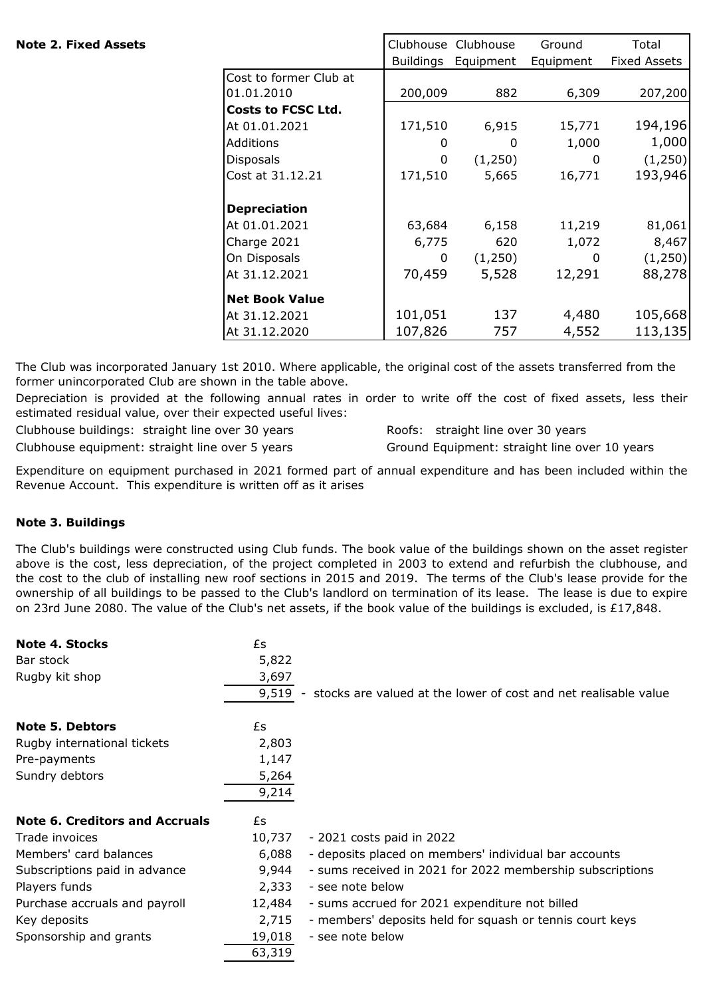| <b>Note 2. Fixed Assets</b> |                        |                  | Clubhouse Clubhouse | Ground       | Total               |
|-----------------------------|------------------------|------------------|---------------------|--------------|---------------------|
|                             |                        | <b>Buildings</b> | Equipment           | Equipment    | <b>Fixed Assets</b> |
|                             | Cost to former Club at |                  |                     |              |                     |
|                             | 01.01.2010             | 200,009          | 882                 | 6,309        | 207,200             |
|                             | Costs to FCSC Ltd.     |                  |                     |              |                     |
|                             | At 01.01.2021          | 171,510          | 6,915               | 15,771       | 194,196             |
|                             | Additions              | 0                | 0                   | 1,000        | 1,000               |
|                             | <b>Disposals</b>       | 0                | (1,250)             | $\mathbf{0}$ | (1,250)             |
|                             | Cost at 31.12.21       | 171,510          | 5,665               | 16,771       | 193,946             |
|                             |                        |                  |                     |              |                     |
|                             | <b>Depreciation</b>    |                  |                     |              |                     |
|                             | At 01.01.2021          | 63,684           | 6,158               | 11,219       | 81,061              |
|                             | Charge 2021            | 6,775            | 620                 | 1,072        | 8,467               |
|                             | On Disposals           | $\mathbf{0}$     | (1,250)             | 0            | (1,250)             |
|                             | At 31.12.2021          | 70,459           | 5,528               | 12,291       | 88,278              |
|                             |                        |                  |                     |              |                     |
|                             | <b>Net Book Value</b>  |                  |                     |              |                     |
|                             | At 31.12.2021          | 101,051          | 137                 | 4,480        | 105,668             |
|                             | At 31.12.2020          | 107,826          | 757                 | 4,552        | 113,135             |

The Club was incorporated January 1st 2010. Where applicable, the original cost of the assets transferred from the former unincorporated Club are shown in the table above.

Depreciation is provided at the following annual rates in order to write off the cost of fixed assets, less their estimated residual value, over their expected useful lives:

Clubhouse buildings: straight line over 30 years Roofs: straight line over 30 years

Clubhouse equipment: straight line over 5 years Ground Equipment: straight line over 10 years

Expenditure on equipment purchased in 2021 formed part of annual expenditure and has been included within the Revenue Account. This expenditure is written off as it arises

# **Note 3. Buildings**

The Club's buildings were constructed using Club funds. The book value of the buildings shown on the asset register above is the cost, less depreciation, of the project completed in 2003 to extend and refurbish the clubhouse, and the cost to the club of installing new roof sections in 2015 and 2019. The terms of the Club's lease provide for the ownership of all buildings to be passed to the Club's landlord on termination of its lease. The lease is due to expire on 23rd June 2080. The value of the Club's net assets, if the book value of the buildings is excluded, is £17,848.

| Note 4. Stocks<br>Bar stock<br>Rugby kit shop | £s<br>5,822<br>3,697<br>9,519 | stocks are valued at the lower of cost and net realisable value |
|-----------------------------------------------|-------------------------------|-----------------------------------------------------------------|
|                                               |                               |                                                                 |
| <b>Note 5. Debtors</b>                        | £s                            |                                                                 |
| Rugby international tickets                   | 2,803                         |                                                                 |
| Pre-payments                                  | 1,147                         |                                                                 |
| Sundry debtors                                | 5,264                         |                                                                 |
|                                               | 9,214                         |                                                                 |
| <b>Note 6. Creditors and Accruals</b>         | £s                            |                                                                 |
| Trade invoices                                | 10,737                        | - 2021 costs paid in 2022                                       |
| Members' card balances                        | 6,088                         | - deposits placed on members' individual bar accounts           |
| Subscriptions paid in advance                 | 9,944                         | - sums received in 2021 for 2022 membership subscriptions       |
| Players funds                                 | 2,333                         | - see note below                                                |
| Purchase accruals and payroll                 | 12,484                        | - sums accrued for 2021 expenditure not billed                  |
| Key deposits                                  | 2,715                         | - members' deposits held for squash or tennis court keys        |
| Sponsorship and grants                        | 19,018                        | - see note below                                                |
|                                               | 63,319                        |                                                                 |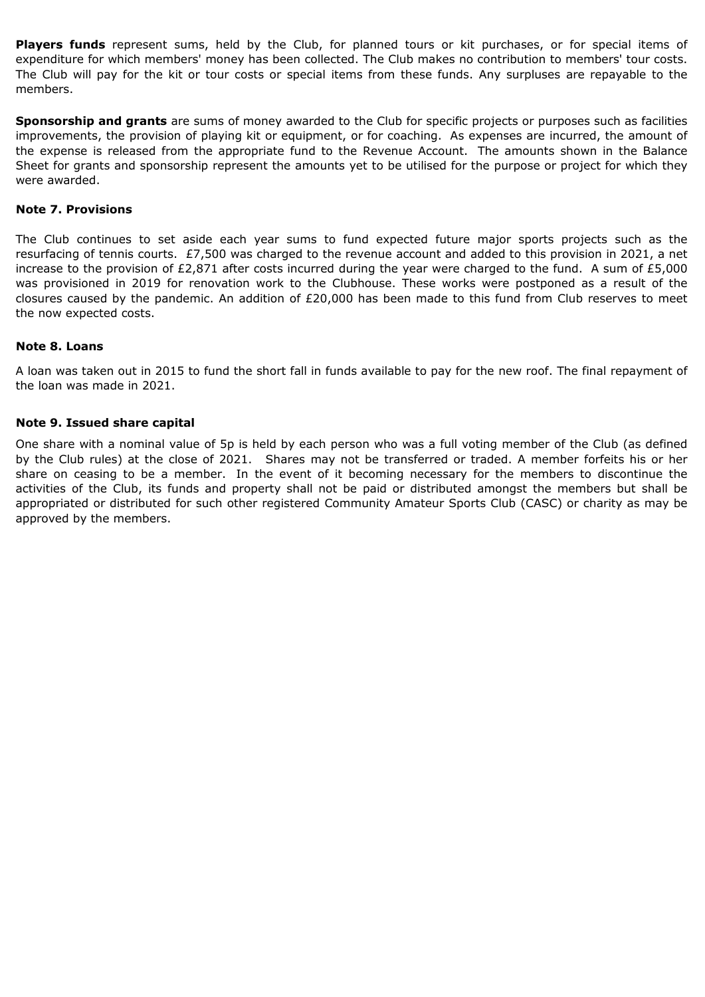**Players funds** represent sums, held by the Club, for planned tours or kit purchases, or for special items of expenditure for which members' money has been collected. The Club makes no contribution to members' tour costs. The Club will pay for the kit or tour costs or special items from these funds. Any surpluses are repayable to the members.

**Sponsorship and grants** are sums of money awarded to the Club for specific projects or purposes such as facilities improvements, the provision of playing kit or equipment, or for coaching. As expenses are incurred, the amount of the expense is released from the appropriate fund to the Revenue Account. The amounts shown in the Balance Sheet for grants and sponsorship represent the amounts yet to be utilised for the purpose or project for which they were awarded.

### **Note 7. Provisions**

The Club continues to set aside each year sums to fund expected future major sports projects such as the resurfacing of tennis courts. £7,500 was charged to the revenue account and added to this provision in 2021, a net increase to the provision of £2,871 after costs incurred during the year were charged to the fund. A sum of £5,000 was provisioned in 2019 for renovation work to the Clubhouse. These works were postponed as a result of the closures caused by the pandemic. An addition of £20,000 has been made to this fund from Club reserves to meet the now expected costs.

### **Note 8. Loans**

A loan was taken out in 2015 to fund the short fall in funds available to pay for the new roof. The final repayment of the loan was made in 2021.

### **Note 9. Issued share capital**

One share with a nominal value of 5p is held by each person who was a full voting member of the Club (as defined by the Club rules) at the close of 2021. Shares may not be transferred or traded. A member forfeits his or her share on ceasing to be a member. In the event of it becoming necessary for the members to discontinue the activities of the Club, its funds and property shall not be paid or distributed amongst the members but shall be appropriated or distributed for such other registered Community Amateur Sports Club (CASC) or charity as may be approved by the members.